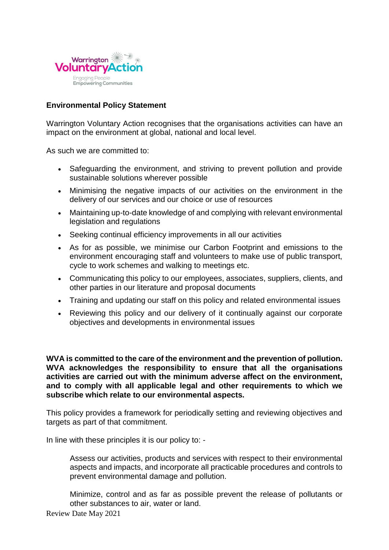

## **[Environmental Policy Statement](http://www.charnock-environmental.co.uk/articles.htm)**

[Warrington Voluntary Action recognises that the organisations](http://www.charnock-environmental.co.uk/articles.htm) activities can have an [impact on the environment at global, national and local level.](http://www.charnock-environmental.co.uk/articles.htm) 

[As such we are committed to:](http://www.charnock-environmental.co.uk/articles.htm)

- Safeguarding the environment, and striving to prevent pollution and provide [sustainable solutions wherever possible](http://www.charnock-environmental.co.uk/articles.htm)
- [Minimising the negative impacts of our activities on the environment in the](http://www.charnock-environmental.co.uk/articles.htm)  [delivery of our services and our choice or use of resources](http://www.charnock-environmental.co.uk/articles.htm)
- [Maintaining up-to-date knowledge of and complying with relevant environmental](http://www.charnock-environmental.co.uk/articles.htm)  [legislation and regulations](http://www.charnock-environmental.co.uk/articles.htm)
- [Seeking continual efficiency improvements in all our activities](http://www.charnock-environmental.co.uk/articles.htm)
- [As for as possible, we minimise our Carbon Footprint and emissions to the](http://www.charnock-environmental.co.uk/articles.htm)  [environment](http://www.charnock-environmental.co.uk/articles.htm) encouraging staff and volunteers to make use of public transport, cycle to work schemes and walking to meetings etc.
- [Communicating this policy to our employees, associates, suppliers, clients, and](http://www.charnock-environmental.co.uk/articles.htm)  [other parties in our literature and proposal documents](http://www.charnock-environmental.co.uk/articles.htm)
- [Training and updating our staff on this policy and related environmental issues](http://www.charnock-environmental.co.uk/articles.htm)
- [Reviewing this policy and our delivery of it continually against our corporate](http://www.charnock-environmental.co.uk/articles.htm)  [objectives and developments in environmental issues](http://www.charnock-environmental.co.uk/articles.htm)

**WVA is committed to the care of the environment and the prevention of pollution. WVA acknowledges the responsibility to ensure that all the organisations activities are carried out with the minimum adverse affect on the environment, and to comply with all applicable legal and other requirements to which we subscribe which relate to our environmental aspects.**

This policy provides a framework for periodically setting and reviewing objectives and targets as part of that commitment.

In line with these principles it is our policy to: -

Assess our activities, products and services with respect to their environmental aspects and impacts, and incorporate all practicable procedures and controls to prevent environmental damage and pollution.

Minimize, control and as far as possible prevent the release of pollutants or other substances to air, water or land.